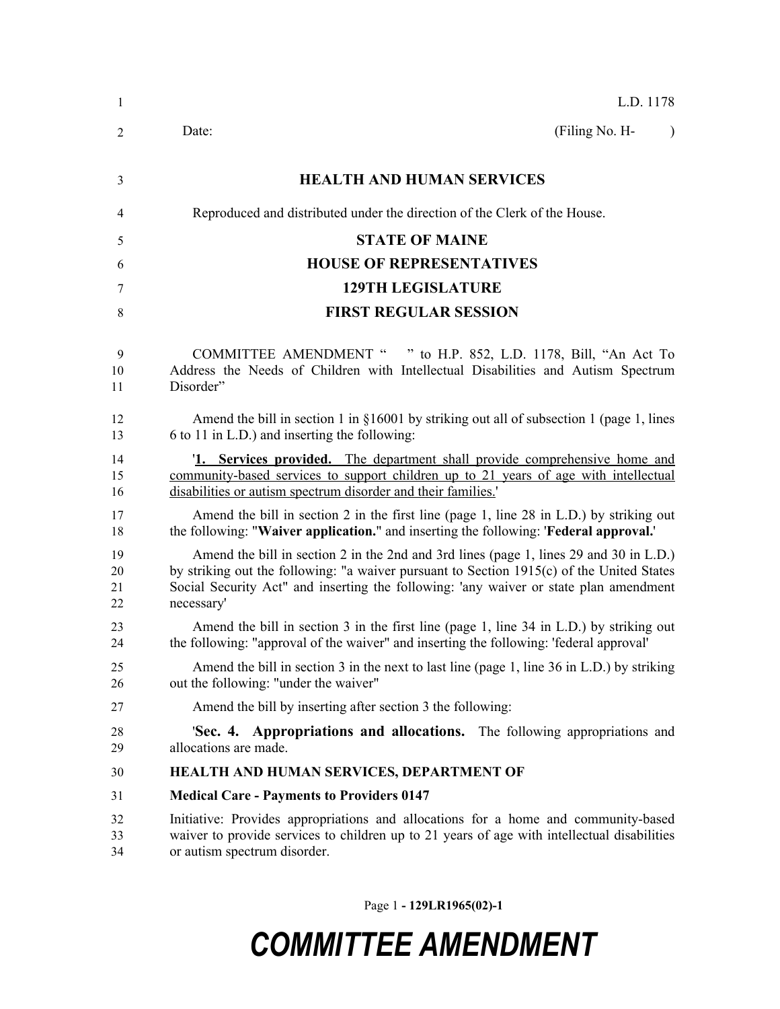| 1                    | L.D. 1178                                                                                                                                                                                                                                                                                  |  |  |
|----------------------|--------------------------------------------------------------------------------------------------------------------------------------------------------------------------------------------------------------------------------------------------------------------------------------------|--|--|
| 2                    | (Filing No. H-<br>Date:<br>$\lambda$                                                                                                                                                                                                                                                       |  |  |
| 3                    | <b>HEALTH AND HUMAN SERVICES</b>                                                                                                                                                                                                                                                           |  |  |
| 4                    | Reproduced and distributed under the direction of the Clerk of the House.                                                                                                                                                                                                                  |  |  |
| 5                    | <b>STATE OF MAINE</b>                                                                                                                                                                                                                                                                      |  |  |
| 6                    | <b>HOUSE OF REPRESENTATIVES</b>                                                                                                                                                                                                                                                            |  |  |
| 7                    | <b>129TH LEGISLATURE</b>                                                                                                                                                                                                                                                                   |  |  |
| 8                    | <b>FIRST REGULAR SESSION</b>                                                                                                                                                                                                                                                               |  |  |
| 9<br>10<br>11        | COMMITTEE AMENDMENT " " to H.P. 852, L.D. 1178, Bill, "An Act To<br>Address the Needs of Children with Intellectual Disabilities and Autism Spectrum<br>Disorder"                                                                                                                          |  |  |
| 12<br>13             | Amend the bill in section 1 in $\S 16001$ by striking out all of subsection 1 (page 1, lines<br>6 to 11 in L.D.) and inserting the following:                                                                                                                                              |  |  |
| 14<br>15<br>16       | <b>1. Services provided.</b> The department shall provide comprehensive home and<br>community-based services to support children up to 21 years of age with intellectual<br>disabilities or autism spectrum disorder and their families.'                                                  |  |  |
| 17<br>18             | Amend the bill in section 2 in the first line (page 1, line 28 in L.D.) by striking out<br>the following: "Waiver application." and inserting the following: 'Federal approval.'                                                                                                           |  |  |
| 19<br>20<br>21<br>22 | Amend the bill in section 2 in the 2nd and 3rd lines (page 1, lines 29 and 30 in L.D.)<br>by striking out the following: "a waiver pursuant to Section 1915(c) of the United States<br>Social Security Act" and inserting the following: 'any waiver or state plan amendment<br>necessary' |  |  |
| 23<br>24             | Amend the bill in section 3 in the first line (page 1, line 34 in L.D.) by striking out<br>the following: "approval of the waiver" and inserting the following: 'federal approval'                                                                                                         |  |  |
| 25<br>26             | Amend the bill in section 3 in the next to last line (page 1, line 36 in L.D.) by striking<br>out the following: "under the waiver"                                                                                                                                                        |  |  |
| 27                   | Amend the bill by inserting after section 3 the following:                                                                                                                                                                                                                                 |  |  |
| 28<br>29             | 'Sec. 4. Appropriations and allocations. The following appropriations and<br>allocations are made.                                                                                                                                                                                         |  |  |
| 30                   | HEALTH AND HUMAN SERVICES, DEPARTMENT OF                                                                                                                                                                                                                                                   |  |  |
| 31                   | <b>Medical Care - Payments to Providers 0147</b>                                                                                                                                                                                                                                           |  |  |
| 32<br>33<br>34       | Initiative: Provides appropriations and allocations for a home and community-based<br>waiver to provide services to children up to 21 years of age with intellectual disabilities<br>or autism spectrum disorder.                                                                          |  |  |

Page 1 **- 129LR1965(02)-1**

## *COMMITTEE AMENDMENT*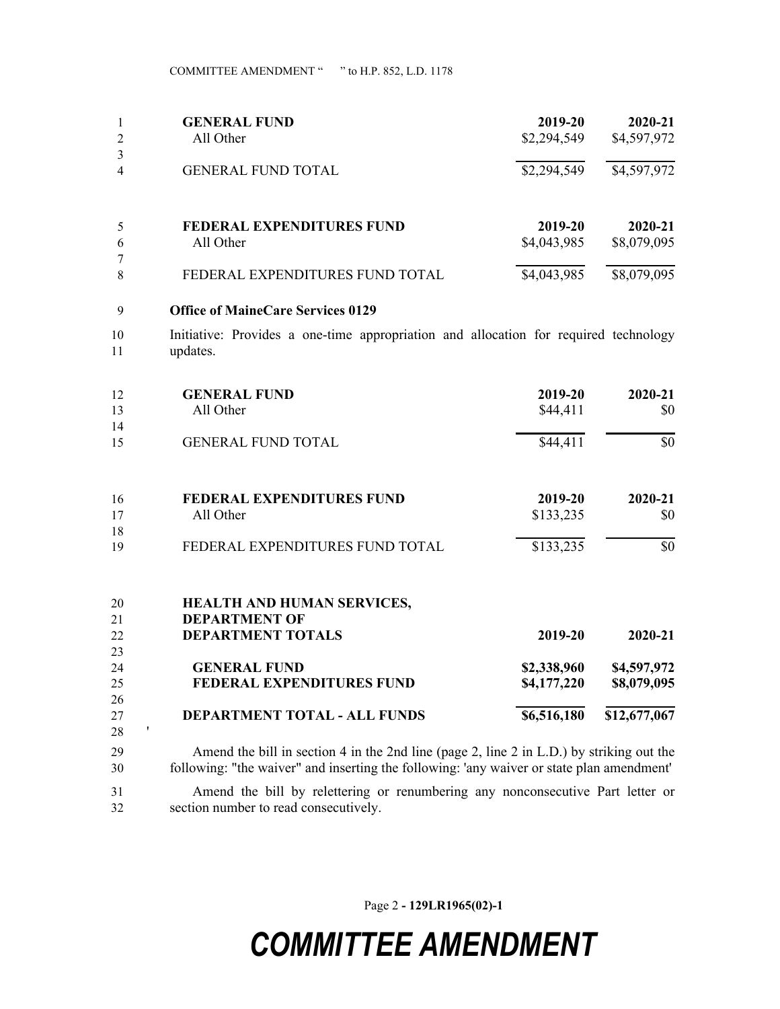COMMITTEE AMENDMENT " " to H.P. 852, L.D. 1178

| 1<br>$\overline{c}$ | <b>GENERAL FUND</b><br>All Other                                                                 | 2019-20<br>\$2,294,549     | 2020-21<br>\$4,597,972     |
|---------------------|--------------------------------------------------------------------------------------------------|----------------------------|----------------------------|
| 3<br>4              | <b>GENERAL FUND TOTAL</b>                                                                        | \$2,294,549                | \$4,597,972                |
| 5                   | <b>FEDERAL EXPENDITURES FUND</b>                                                                 | 2019-20                    | 2020-21                    |
| 6                   | All Other                                                                                        | \$4,043,985                | \$8,079,095                |
| 7<br>8              | FEDERAL EXPENDITURES FUND TOTAL                                                                  | \$4,043,985                | \$8,079,095                |
| 9                   | <b>Office of MaineCare Services 0129</b>                                                         |                            |                            |
| 10<br>11            | Initiative: Provides a one-time appropriation and allocation for required technology<br>updates. |                            |                            |
| 12                  | <b>GENERAL FUND</b>                                                                              | 2019-20                    | 2020-21                    |
| 13                  | All Other                                                                                        | \$44,411                   | \$0                        |
| 14<br>15            | <b>GENERAL FUND TOTAL</b>                                                                        | \$44,411                   | \$0                        |
| 16                  | <b>FEDERAL EXPENDITURES FUND</b>                                                                 | 2019-20                    | 2020-21                    |
| 17                  | All Other                                                                                        | \$133,235                  | \$0                        |
| 18<br>19            | FEDERAL EXPENDITURES FUND TOTAL                                                                  | \$133,235                  | \$0                        |
| 20<br>21            | HEALTH AND HUMAN SERVICES,<br><b>DEPARTMENT OF</b>                                               |                            |                            |
| 22                  | <b>DEPARTMENT TOTALS</b>                                                                         | 2019-20                    | 2020-21                    |
| 23                  |                                                                                                  |                            |                            |
| 24<br>25            | <b>GENERAL FUND</b><br>FEDERAL EXPENDITURES FUND                                                 | \$2,338,960<br>\$4,177,220 | \$4,597,972<br>\$8,079,095 |
| 26                  |                                                                                                  |                            |                            |
| 27<br>28            | DEPARTMENT TOTAL - ALL FUNDS<br>,                                                                | \$6,516,180                | \$12,677,067               |

 Amend the bill in section 4 in the 2nd line (page 2, line 2 in L.D.) by striking out the following: "the waiver" and inserting the following: 'any waiver or state plan amendment'

 Amend the bill by relettering or renumbering any nonconsecutive Part letter or section number to read consecutively.

Page 2 **- 129LR1965(02)-1**

## *COMMITTEE AMENDMENT*